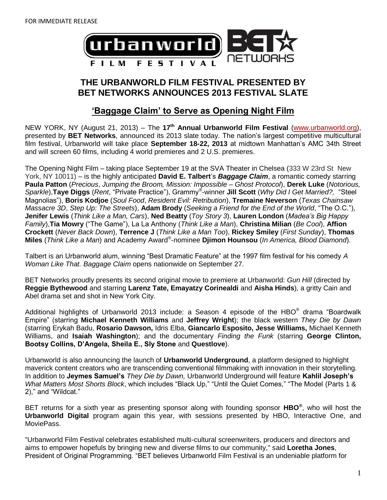

# **THE URBANWORLD FILM FESTIVAL PRESENTED BY BET NETWORKS ANNOUNCES 2013 FESTIVAL SLATE**

# **'Baggage Claim' to Serve as Opening Night Film**

NEW YORK, NY (August 21, 2013) – The **17 th Annual Urbanworld Film Festival** [\(www.urbanworld.org\)](http://www.urbanworld.org/), presented by **BET Networks**, announced its 2013 slate today. The nation's largest competitive multicultural film festival, Urbanworld will take place **September 18-22, 2013** at midtown Manhattan's AMC 34th Street and will screen 60 films, including 4 world premieres and 2 U.S. premieres.

The Opening Night Film – taking place September 19 at the SVA Theater in Chelsea (333 W 23rd St New York, NY 10011) – is the highly anticipated **David E. Talbert**'s *Baggage Claim*, a romantic comedy starring **Paula Patton** (*Precious*, *Jumping the Broom, Mission: Impossible – Ghost Protocol*), **Derek Luke** (*Notorious, Sparkle*),**Taye Diggs** (*Rent*, "Private Practice"), Grammy® -winner **Jill Scott** (*Why Did I Get Married?,* "Steel Magnolias"), **Boris Kodjoe** (*Soul Food*, *Resident Evil: Retribution*), **Tremaine Neverson** (*Texas Chainsaw Massacre 3D*, *Step Up: The Streets*), **Adam Brody** (*Seeking a Friend for the End of the World*, "The O.C."), **Jenifer Lewis** (*Think Like a Man, Cars*), **Ned Beatty** (*Toy Story 3*), **Lauren London** (*Madea's Big Happy Family*),**Tia Mowry** ("The Game"), La La Anthony (*Think Like a Man*), **Christina Milian** (*Be Cool*), **Affion Crockett** (*Never Back Down*), **Terrence J** (*Think Like a Man Too*), **Rickey Smiley** (*First Sunday*), **Thomas Miles** (*Think Like a Man*) and Academy Award® -nominee **Djimon Hounsou** (*In America, Blood Diamond*).

Talbert is an Urbanworld alum, winning "Best Dramatic Feature" at the 1997 film festival for his comedy *A Woman Like That. Baggage Claim* opens nationwide on September 27.

BET Networks proudly presents its second original movie to premiere at Urbanworld: *Gun Hill* (directed by **Reggie Bythewood** and starring **Larenz Tate, Emayatzy Corinealdi** and **Aisha Hinds**)*,* a gritty Cain and Abel drama set and shot in New York City.

Additional highlights of Urbanworld 2013 include: a Season 4 episode of the HBO<sup>®</sup> drama "Boardwalk Empire" (starring **Michael Kenneth Williams** and **Jeffrey Wright**); the black western *They Die by Dawn*  (starring Erykah Badu, **Rosario Dawson,** Idris Elba, **Giancarlo Esposito, Jesse Williams,** Michael Kenneth Williams, and **Isaiah Washington**); and the documentary *Finding the Funk* (starring **George Clinton, Bootsy Collins, D'Angela, Sheila E., Sly Stone** and **Questlove**).

Urbanworld is also announcing the launch of **Urbanworld Underground**, a platform designed to highlight maverick content creators who are transcending conventional filmmaking with innovation in their storytelling. In addition to **Jeymes Samuel's** *They Die by Dawn,* Urbanworld Underground will feature **Kahlil Joseph's** *What Matters Most Shorts Block*, which includes "Black Up," "Until the Quiet Comes," "The Model (Parts 1 & 2)," and "Wildcat."

BET returns for a sixth year as presenting sponsor along with founding sponsor **HBO®** , who will host the **Urbanworld Digital** program again this year, with sessions presented by HBO, Interactive One, and MoviePass.

"Urbanworld Film Festival celebrates established multi-cultural screenwriters, producers and directors and aims to empower hopefuls by bringing new and diverse films to our community," said **Loretha Jones**, President of Original Programming. "BET believes Urbanworld Film Festival is an undeniable platform for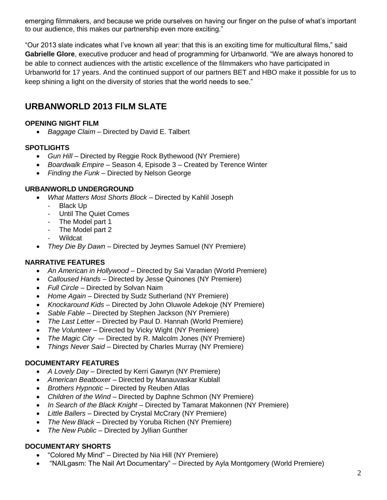emerging filmmakers, and because we pride ourselves on having our finger on the pulse of what's important to our audience, this makes our partnership even more exciting."

"Our 2013 slate indicates what I've known all year: that this is an exciting time for multicultural films," said **Gabrielle Glore**, executive producer and head of programming for Urbanworld. "We are always honored to be able to connect audiences with the artistic excellence of the filmmakers who have participated in Urbanworld for 17 years. And the continued support of our partners BET and HBO make it possible for us to keep shining a light on the diversity of stories that the world needs to see."

# **URBANWORLD 2013 FILM SLATE**

#### **OPENING NIGHT FILM**

*Baggage Claim* – Directed by David E. Talbert

#### **SPOTLIGHTS**

- *Gun Hill –* Directed by Reggie Rock Bythewood (NY Premiere)
- *Boardwalk Empire –* Season 4, Episode 3 Created by Terence Winter
- *Finding the Funk –* Directed by Nelson George

#### **URBANWORLD UNDERGROUND**

- *What Matters Most Shorts Block* Directed by Kahlil Joseph
	- Black Up
	- Until The Quiet Comes
	- The Model part 1
	- The Model part 2
	- Wildcat
- *They Die By Dawn* Directed by Jeymes Samuel (NY Premiere)

## **NARRATIVE FEATURES**

- *An American in Hollywood –* Directed by Sai Varadan (World Premiere)
- *Calloused Hands –* Directed by Jesse Quinones (NY Premiere)
- *Full Circle*  Directed by Solvan Naim
- *Home Again –* Directed by Sudz Sutherland (NY Premiere)
- *Knockaround Kids* Directed by John Oluwole Adekoje (NY Premiere)
- *Sable Fable –* Directed by Stephen Jackson (NY Premiere)
- *The Last Letter –* Directed by Paul D. Hannah (World Premiere)
- *The Volunteer –* Directed by Vicky Wight (NY Premiere)
- The Magic City -– Directed by R. Malcolm Jones (NY Premiere)
- *Things Never Said –* Directed by Charles Murray (NY Premiere)

## **DOCUMENTARY FEATURES**

- *A Lovely Day –* Directed by Kerri Gawryn (NY Premiere)
- *American Beatboxer –* Directed by Manauvaskar Kublall
- *Brothers Hypnotic –* Directed by Reuben Atlas
- *Children of the Wind –* Directed by Daphne Schmon (NY Premiere)
- *In Search of the Black Knight –* Directed by Tamarat Makonnen (NY Premiere)
- *Little Ballers* Directed by Crystal McCrary (NY Premiere)
- *The New Black –* Directed by Yoruba Richen (NY Premiere)
- *The New Public –* Directed by Jyllian Gunther

## **DOCUMENTARY SHORTS**

- "Colored My Mind" Directed by Nia Hill (NY Premiere)
- "NAILgasm: The Nail Art Documentary" Directed by Ayla Montgomery (World Premiere)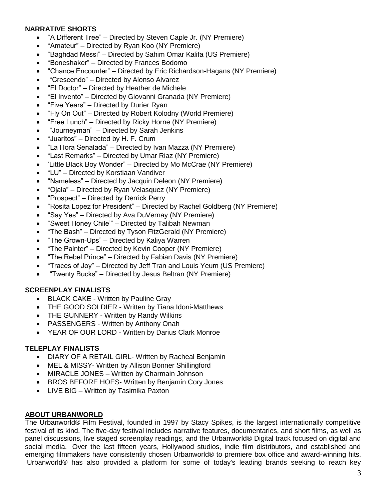#### **NARRATIVE SHORTS**

- "A Different Tree" Directed by Steven Caple Jr. (NY Premiere)
- "Amateur" Directed by Ryan Koo (NY Premiere)
- "Baghdad Messi" Directed by Sahim Omar Kalifa (US Premiere)
- "Boneshaker" Directed by Frances Bodomo
- "Chance Encounter" Directed by Eric Richardson-Hagans (NY Premiere)
- "Crescendo" Directed by Alonso Alvarez
- "El Doctor" Directed by Heather de Michele
- "El Invento" Directed by Giovanni Granada (NY Premiere)
- "Five Years" Directed by Durier Ryan
- "Fly On Out" Directed by Robert Kolodny (World Premiere)
- "Free Lunch" Directed by Ricky Horne (NY Premiere)
- "Journeyman" Directed by Sarah Jenkins
- "Juaritos" Directed by H. F. Crum
- "La Hora Senalada" Directed by Ivan Mazza (NY Premiere)
- "Last Remarks" Directed by Umar Riaz (NY Premiere)
- 'Little Black Boy Wonder" Directed by Mo McCrae (NY Premiere)
- "LU" Directed by Korstiaan Vandiver
- "Nameless" Directed by Jacquin Deleon (NY Premiere)
- "Ojala" Directed by Ryan Velasquez (NY Premiere)
- "Prospect" Directed by Derrick Perry
- "Rosita Lopez for President" Directed by Rachel Goldberg (NY Premiere)
- "Say Yes" Directed by Ava DuVernay (NY Premiere)
- "Sweet Honey Chile'" Directed by Talibah Newman
- "The Bash" Directed by Tyson FitzGerald (NY Premiere)
- "The Grown-Ups" Directed by Kaliya Warren
- "The Painter" Directed by Kevin Cooper (NY Premiere)
- "The Rebel Prince" Directed by Fabian Davis (NY Premiere)
- "Traces of Joy" Directed by Jeff Tran and Louis Yeum (US Premiere)
- "Twenty Bucks" Directed by Jesus Beltran (NY Premiere)

#### **SCREENPLAY FINALISTS**

- BLACK CAKE Written by Pauline Gray
- THE GOOD SOLDIER Written by Tiana Idoni-Matthews
- THE GUNNERY Written by Randy Wilkins
- PASSENGERS Written by Anthony Onah
- YEAR OF OUR LORD Written by Darius Clark Monroe

#### **TELEPLAY FINALISTS**

- DIARY OF A RETAIL GIRL- Written by Racheal Benjamin
- MEL & MISSY- Written by Allison Bonner Shillingford
- MIRACLE JONES Written by Charmain Johnson
- BROS BEFORE HOES- Written by Benjamin Cory Jones
- LIVE BIG Written by Tasimika Paxton

#### **ABOUT URBANWORLD**

The Urbanworld® Film Festival, founded in 1997 by Stacy Spikes, is the largest internationally competitive festival of its kind. The five-day festival includes narrative features, documentaries, and short films, as well as panel discussions, live staged screenplay readings, and the Urbanworld® Digital track focused on digital and social media. Over the last fifteen years, Hollywood studios, indie film distributors, and established and emerging filmmakers have consistently chosen Urbanworld® to premiere box office and award-winning hits. Urbanworld® has also provided a platform for some of today's leading brands seeking to reach key